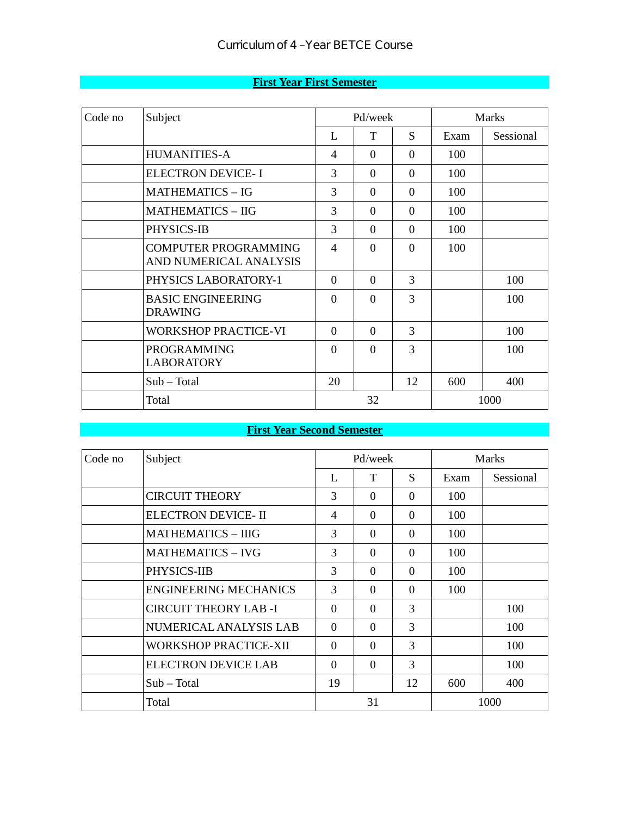|  | <b>First Year First Semester</b> |  |
|--|----------------------------------|--|
|  |                                  |  |

| Code no | Subject                                               |                | Pd/week        |          |      | <b>Marks</b> |  |  |
|---------|-------------------------------------------------------|----------------|----------------|----------|------|--------------|--|--|
|         |                                                       | L              | T              | S.       | Exam | Sessional    |  |  |
|         | <b>HUMANITIES-A</b>                                   | $\overline{4}$ | $\Omega$       | $\Omega$ | 100  |              |  |  |
|         | <b>ELECTRON DEVICE-I</b>                              | 3              | $\Omega$       | $\Omega$ | 100  |              |  |  |
|         | <b>MATHEMATICS - IG</b>                               | 3              | $\Omega$       | $\Omega$ | 100  |              |  |  |
|         | <b>MATHEMATICS - IIG</b>                              | 3              | $\overline{0}$ | $\Omega$ | 100  |              |  |  |
|         | PHYSICS-IB                                            | 3              | $\Omega$       | $\Omega$ | 100  |              |  |  |
|         | <b>COMPUTER PROGRAMMING</b><br>AND NUMERICAL ANALYSIS | $\overline{4}$ | $\Omega$       | $\Omega$ | 100  |              |  |  |
|         | PHYSICS LABORATORY-1                                  | $\Omega$       | $\Omega$       | 3        |      | 100          |  |  |
|         | <b>BASIC ENGINEERING</b><br><b>DRAWING</b>            | $\Omega$       | $\Omega$       | 3        |      | 100          |  |  |
|         | <b>WORKSHOP PRACTICE-VI</b>                           | $\Omega$       | $\Omega$       | 3        |      | 100          |  |  |
|         | <b>PROGRAMMING</b><br><b>LABORATORY</b>               | $\Omega$       | $\Omega$       | 3        |      | 100          |  |  |
|         | $Sub - Total$                                         | 20             |                | 12       | 600  | 400          |  |  |
|         | Total                                                 |                | 32             |          |      | 1000         |  |  |

## **First Year Second Semester**

| Code no | Subject                      |                | Pd/week  |               | <b>Marks</b> |           |  |
|---------|------------------------------|----------------|----------|---------------|--------------|-----------|--|
|         |                              | L              | T        | S             | Exam         | Sessional |  |
|         | <b>CIRCUIT THEORY</b>        | 3              | $\Omega$ | $\Omega$      | 100          |           |  |
|         | <b>ELECTRON DEVICE- II</b>   | $\overline{4}$ | $\Omega$ | $\Omega$      | 100          |           |  |
|         | <b>MATHEMATICS - IIIG</b>    | 3              | $\Omega$ | $\Omega$      | 100          |           |  |
|         | <b>MATHEMATICS - IVG</b>     | 3              | $\Omega$ | $\Omega$      | 100          |           |  |
|         | PHYSICS-IIB                  | 3              | $\Omega$ | $\Omega$      | 100          |           |  |
|         | <b>ENGINEERING MECHANICS</b> | 3              | $\Omega$ | $\Omega$      | 100          |           |  |
|         | <b>CIRCUIT THEORY LAB-I</b>  | $\Omega$       | $\Omega$ | 3             |              | 100       |  |
|         | NUMERICAL ANALYSIS LAB       | $\Omega$       | $\Omega$ | $\mathcal{R}$ |              | 100       |  |
|         | WORKSHOP PRACTICE-XII        | $\Omega$       | $\Omega$ | 3             |              | 100       |  |
|         | <b>ELECTRON DEVICE LAB</b>   | $\Omega$       | $\Omega$ | 3             |              | 100       |  |
|         | $Sub - Total$                | 19             |          | 12            | 600          | 400       |  |
|         | Total                        |                | 31       |               |              | 1000      |  |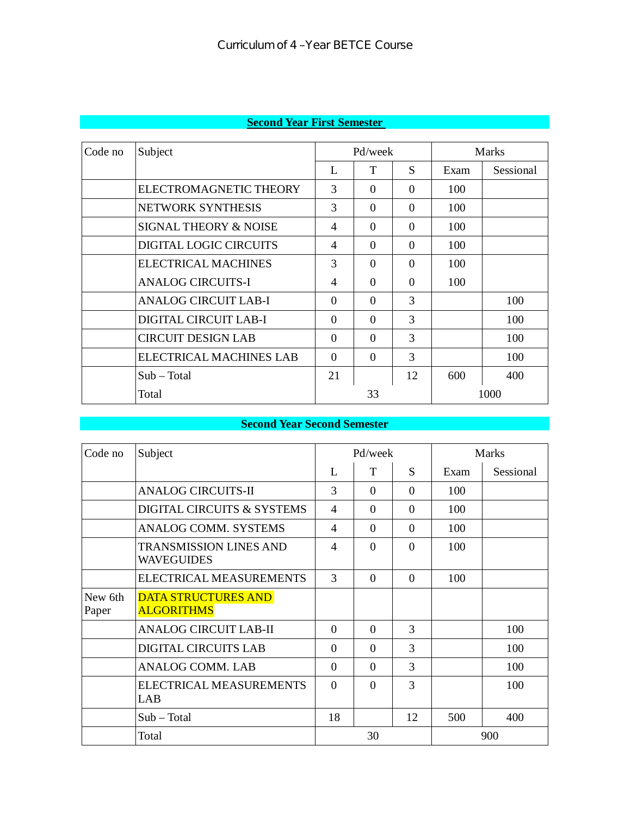| Code no | Subject                     |                | Pd/week  |          |      | <b>Marks</b> |  |
|---------|-----------------------------|----------------|----------|----------|------|--------------|--|
|         |                             | L              | T        | S        | Exam | Sessional    |  |
|         | ELECTROMAGNETIC THEORY      | 3              | $\Omega$ | $\Omega$ | 100  |              |  |
|         | NETWORK SYNTHESIS           | 3              | $\Omega$ | $\Omega$ | 100  |              |  |
|         | SIGNAL THEORY & NOISE       | $\overline{4}$ | $\Omega$ | $\Omega$ | 100  |              |  |
|         | DIGITAL LOGIC CIRCUITS      | $\overline{4}$ | $\Omega$ | $\Omega$ | 100  |              |  |
|         | ELECTRICAL MACHINES         | 3              | $\Omega$ | $\Omega$ | 100  |              |  |
|         | <b>ANALOG CIRCUITS-I</b>    | $\overline{4}$ | $\Omega$ | 0        | 100  |              |  |
|         | <b>ANALOG CIRCUIT LAB-I</b> | $\Omega$       | $\Omega$ | 3        |      | 100          |  |
|         | DIGITAL CIRCUIT LAB-I       | $\Omega$       | $\Omega$ | 3        |      | 100          |  |
|         | <b>CIRCUIT DESIGN LAB</b>   | $\Omega$       | $\Omega$ | 3        |      | 100          |  |
|         | ELECTRICAL MACHINES LAB     | $\Omega$       | $\Omega$ | 3        |      | 100          |  |
|         | $Sub - Total$               | 21             |          | 12       | 600  | 400          |  |
|         | Total                       |                | 33       |          |      | 1000         |  |

## **Second Year First Semester**

#### **Second Year Second Semester**

| Code no          | Subject                                            | Pd/week        |          |          |      | <b>Marks</b> |
|------------------|----------------------------------------------------|----------------|----------|----------|------|--------------|
|                  |                                                    | L              | T        | S        | Exam | Sessional    |
|                  | <b>ANALOG CIRCUITS-II</b>                          | 3              | $\Omega$ | $\Omega$ | 100  |              |
|                  | DIGITAL CIRCUITS & SYSTEMS                         | $\overline{4}$ | $\Omega$ | $\Omega$ | 100  |              |
|                  | <b>ANALOG COMM. SYSTEMS</b>                        | 4              | $\Omega$ | $\Omega$ | 100  |              |
|                  | <b>TRANSMISSION LINES AND</b><br><b>WAVEGUIDES</b> | 4              | $\Omega$ | $\Omega$ | 100  |              |
|                  | ELECTRICAL MEASUREMENTS                            | 3              | $\Omega$ | $\Omega$ | 100  |              |
| New 6th<br>Paper | <b>DATA STRUCTURES AND</b><br><b>ALGORITHMS</b>    |                |          |          |      |              |
|                  | <b>ANALOG CIRCUIT LAB-II</b>                       | $\theta$       | $\Omega$ | 3        |      | 100          |
|                  | <b>DIGITAL CIRCUITS LAB</b>                        | $\Omega$       | $\Omega$ | 3        |      | 100          |
|                  | <b>ANALOG COMM. LAB</b>                            | $\Omega$       | $\Omega$ | 3        |      | 100          |
|                  | ELECTRICAL MEASUREMENTS<br>LAB                     | $\Omega$       | $\Omega$ | 3        |      | 100          |
|                  | $Sub - Total$                                      | 18             |          | 12       | 500  | 400          |
|                  | Total                                              |                | 30       |          | 900  |              |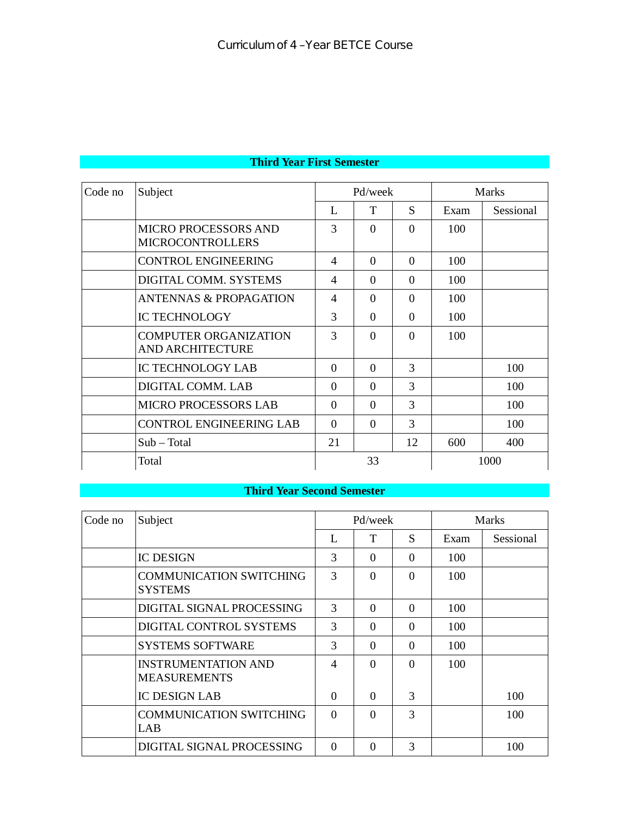| Code no | Subject                                                 | Pd/week        |          |          | <b>Marks</b> |           |  |
|---------|---------------------------------------------------------|----------------|----------|----------|--------------|-----------|--|
|         |                                                         | L              | T        | S        | Exam         | Sessional |  |
|         | <b>MICRO PROCESSORS AND</b><br><b>MICROCONTROLLERS</b>  | 3              | $\Omega$ | $\Omega$ | 100          |           |  |
|         | <b>CONTROL ENGINEERING</b>                              | $\overline{4}$ | $\Omega$ | $\Omega$ | 100          |           |  |
|         | DIGITAL COMM. SYSTEMS                                   | 4              | $\Omega$ | $\Omega$ | 100          |           |  |
|         | <b>ANTENNAS &amp; PROPAGATION</b>                       | 4              | $\Omega$ | $\Omega$ | 100          |           |  |
|         | <b>IC TECHNOLOGY</b>                                    | 3              | $\Omega$ | $\Omega$ | 100          |           |  |
|         | <b>COMPUTER ORGANIZATION</b><br><b>AND ARCHITECTURE</b> | 3              | $\Omega$ | $\Omega$ | 100          |           |  |
|         | <b>IC TECHNOLOGY LAB</b>                                | $\Omega$       | $\Omega$ | 3        |              | 100       |  |
|         | DIGITAL COMM. LAB                                       | $\Omega$       | $\Omega$ | 3        |              | 100       |  |
|         | <b>MICRO PROCESSORS LAB</b>                             | $\Omega$       | $\Omega$ | 3        |              | 100       |  |
|         | <b>CONTROL ENGINEERING LAB</b>                          | $\Omega$       | $\Omega$ | 3        |              | 100       |  |
|         | $Sub - Total$                                           | 21             |          | 12       | 600          | 400       |  |
|         | Total                                                   |                | 33       |          |              | 1000      |  |

#### **Third Year Second Semester**

| Code no | Subject                                           |          | Pd/week  |          | <b>Marks</b> |           |  |
|---------|---------------------------------------------------|----------|----------|----------|--------------|-----------|--|
|         |                                                   | L        | T        | S        | Exam         | Sessional |  |
|         | <b>IC DESIGN</b>                                  | 3        | $\Omega$ | $\Omega$ | 100          |           |  |
|         | <b>COMMUNICATION SWITCHING</b><br><b>SYSTEMS</b>  | 3        | $\Omega$ | $\Omega$ | 100          |           |  |
|         | DIGITAL SIGNAL PROCESSING                         | 3        | $\Omega$ | $\Omega$ | 100          |           |  |
|         | DIGITAL CONTROL SYSTEMS                           | 3        | $\Omega$ | $\Omega$ | 100          |           |  |
|         | <b>SYSTEMS SOFTWARE</b>                           | 3        | $\Omega$ | $\Omega$ | 100          |           |  |
|         | <b>INSTRUMENTATION AND</b><br><b>MEASUREMENTS</b> | 4        | ∩        | $\Omega$ | 100          |           |  |
|         | <b>IC DESIGN LAB</b>                              | $\Omega$ | $\Omega$ | 3        |              | 100       |  |
|         | <b>COMMUNICATION SWITCHING</b><br>LAB             | $\Omega$ | $\Omega$ | 3        |              | 100       |  |
|         | DIGITAL SIGNAL PROCESSING                         | $\Omega$ |          | 3        |              | 100       |  |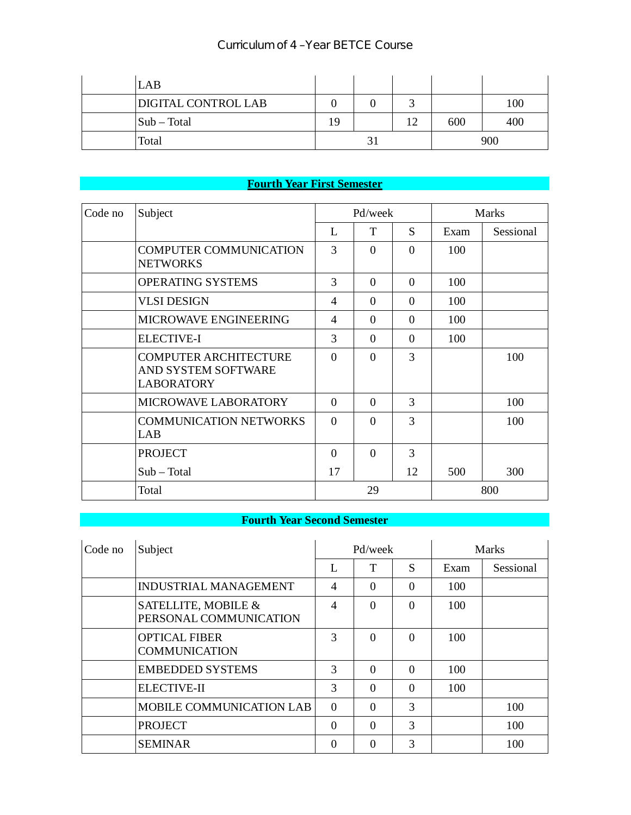### Curriculum of 4 –Year BETCE Course

| LAB                        |    |    |    |     |     |
|----------------------------|----|----|----|-----|-----|
| <b>DIGITAL CONTROL LAB</b> |    |    |    |     | 100 |
| $\vert$ Sub – Total        | 19 |    | 12 | 600 | 400 |
| Total                      |    | J. |    |     | 900 |

# **Fourth Year First Semester**

| Code no | Subject                                                                  |                | Pd/week  |          |      | <b>Marks</b> |
|---------|--------------------------------------------------------------------------|----------------|----------|----------|------|--------------|
|         |                                                                          | L              | T        | S        | Exam | Sessional    |
|         | <b>COMPUTER COMMUNICATION</b><br><b>NETWORKS</b>                         | 3              | $\Omega$ | $\Omega$ | 100  |              |
|         | <b>OPERATING SYSTEMS</b>                                                 | 3              | $\Omega$ | $\Omega$ | 100  |              |
|         | <b>VLSI DESIGN</b>                                                       | $\overline{4}$ | $\Omega$ | $\Omega$ | 100  |              |
|         | <b>MICROWAVE ENGINEERING</b>                                             | $\overline{4}$ | $\Omega$ | $\Omega$ | 100  |              |
|         | <b>ELECTIVE-I</b>                                                        | 3              | $\Omega$ | $\Omega$ | 100  |              |
|         | <b>COMPUTER ARCHITECTURE</b><br>AND SYSTEM SOFTWARE<br><b>LABORATORY</b> | $\Omega$       | $\Omega$ | 3        |      | 100          |
|         | MICROWAVE LABORATORY                                                     | $\Omega$       | $\Omega$ | 3        |      | 100          |
|         | <b>COMMUNICATION NETWORKS</b><br>LAB                                     | $\Omega$       | $\Omega$ | 3        |      | 100          |
|         | <b>PROJECT</b>                                                           | $\Omega$       | $\Omega$ | 3        |      |              |
|         | $Sub - Total$                                                            | 17             |          | 12       | 500  | 300          |
|         | Total                                                                    |                | 29       |          |      | 800          |

## **Fourth Year Second Semester**

| Code no | Subject                                       | Pd/week  |          |          | <b>Marks</b> |           |
|---------|-----------------------------------------------|----------|----------|----------|--------------|-----------|
|         |                                               | L        | Т        | S        | Exam         | Sessional |
|         | <b>INDUSTRIAL MANAGEMENT</b>                  | 4        | $\Omega$ | $\Omega$ | 100          |           |
|         | SATELLITE, MOBILE &<br>PERSONAL COMMUNICATION | 4        | $\Omega$ | $\Omega$ | 100          |           |
|         | <b>OPTICAL FIBER</b><br><b>COMMUNICATION</b>  | 3        | $\Omega$ | $\Omega$ | 100          |           |
|         | <b>EMBEDDED SYSTEMS</b>                       | 3        | $\Omega$ | $\Omega$ | 100          |           |
|         | <b>ELECTIVE-II</b>                            | 3        | $\Omega$ | $\Omega$ | 100          |           |
|         | MOBILE COMMUNICATION LAB                      | $\Omega$ | $\Omega$ | 3        |              | 100       |
|         | <b>PROJECT</b>                                | $\Omega$ | $\Omega$ | 3        |              | 100       |
|         | <b>SEMINAR</b>                                | 0        | 0        | 3        |              | 100       |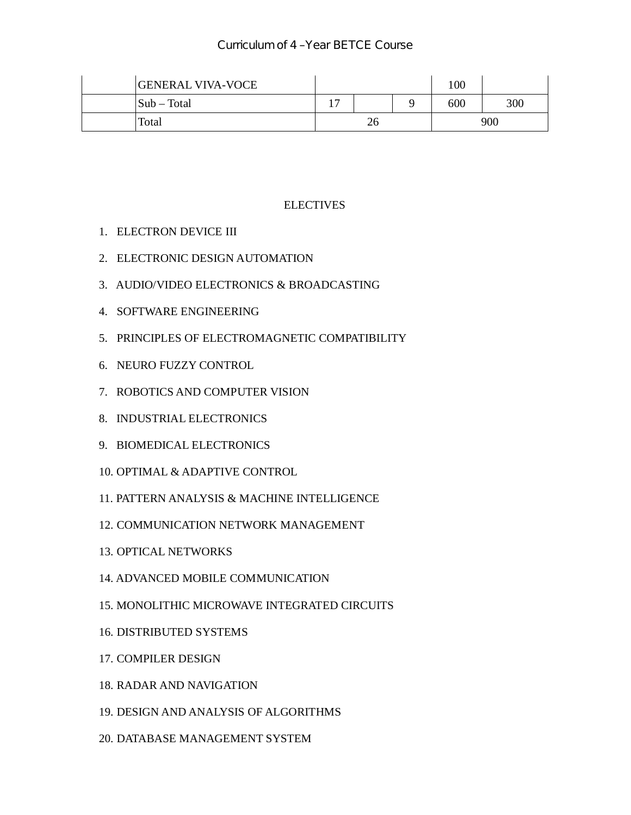| <b>GENERAL VIVA-VOCE</b> |   |    | 100 |     |
|--------------------------|---|----|-----|-----|
| $\vert$ Sub – Total      | - |    | 600 | 300 |
| Total                    |   | 26 |     | 900 |

#### **ELECTIVES**

- 1. ELECTRON DEVICE III
- 2. ELECTRONIC DESIGN AUTOMATION
- 3. AUDIO/VIDEO ELECTRONICS & BROADCASTING
- 4. SOFTWARE ENGINEERING
- 5. PRINCIPLES OF ELECTROMAGNETIC COMPATIBILITY
- 6. NEURO FUZZY CONTROL
- 7. ROBOTICS AND COMPUTER VISION
- 8. INDUSTRIAL ELECTRONICS
- 9. BIOMEDICAL ELECTRONICS
- 10. OPTIMAL & ADAPTIVE CONTROL
- 11. PATTERN ANALYSIS & MACHINE INTELLIGENCE
- 12. COMMUNICATION NETWORK MANAGEMENT
- 13. OPTICAL NETWORKS
- 14. ADVANCED MOBILE COMMUNICATION
- 15. MONOLITHIC MICROWAVE INTEGRATED CIRCUITS
- 16. DISTRIBUTED SYSTEMS
- 17. COMPILER DESIGN
- 18. RADAR AND NAVIGATION
- 19. DESIGN AND ANALYSIS OF ALGORITHMS
- 20. DATABASE MANAGEMENT SYSTEM